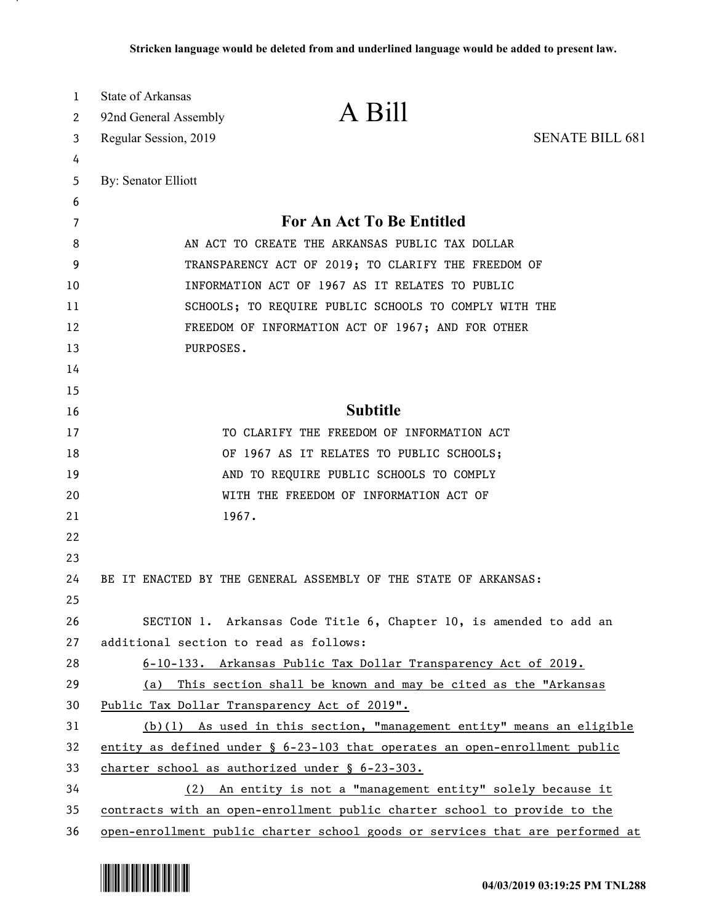| 1<br>2   | State of Arkansas<br>92nd General Assembly                                                                 | A Bill                                                                        |                        |
|----------|------------------------------------------------------------------------------------------------------------|-------------------------------------------------------------------------------|------------------------|
| 3        | Regular Session, 2019                                                                                      |                                                                               | <b>SENATE BILL 681</b> |
| 4        |                                                                                                            |                                                                               |                        |
| 5        | By: Senator Elliott                                                                                        |                                                                               |                        |
| 6        |                                                                                                            |                                                                               |                        |
| 7        |                                                                                                            | For An Act To Be Entitled                                                     |                        |
| 8        | AN ACT TO CREATE THE ARKANSAS PUBLIC TAX DOLLAR<br>TRANSPARENCY ACT OF 2019; TO CLARIFY THE FREEDOM OF     |                                                                               |                        |
| 9<br>10  | INFORMATION ACT OF 1967 AS IT RELATES TO PUBLIC                                                            |                                                                               |                        |
|          |                                                                                                            |                                                                               |                        |
| 11<br>12 | SCHOOLS; TO REQUIRE PUBLIC SCHOOLS TO COMPLY WITH THE<br>FREEDOM OF INFORMATION ACT OF 1967; AND FOR OTHER |                                                                               |                        |
| 13       | PURPOSES.                                                                                                  |                                                                               |                        |
| 14       |                                                                                                            |                                                                               |                        |
| 15       |                                                                                                            |                                                                               |                        |
| 16       |                                                                                                            | <b>Subtitle</b>                                                               |                        |
| 17       |                                                                                                            | TO CLARIFY THE FREEDOM OF INFORMATION ACT                                     |                        |
| 18       |                                                                                                            | OF 1967 AS IT RELATES TO PUBLIC SCHOOLS;                                      |                        |
| 19       |                                                                                                            | AND TO REQUIRE PUBLIC SCHOOLS TO COMPLY                                       |                        |
| 20       |                                                                                                            | WITH THE FREEDOM OF INFORMATION ACT OF                                        |                        |
| 21       | 1967.                                                                                                      |                                                                               |                        |
| 22       |                                                                                                            |                                                                               |                        |
| 23       |                                                                                                            |                                                                               |                        |
| 24       |                                                                                                            | BE IT ENACTED BY THE GENERAL ASSEMBLY OF THE STATE OF ARKANSAS:               |                        |
| 25       |                                                                                                            |                                                                               |                        |
| 26       |                                                                                                            | SECTION 1. Arkansas Code Title 6, Chapter 10, is amended to add an            |                        |
| 27       | additional section to read as follows:                                                                     |                                                                               |                        |
| 28       |                                                                                                            | 6-10-133. Arkansas Public Tax Dollar Transparency Act of 2019.                |                        |
| 29       | (a)                                                                                                        | This section shall be known and may be cited as the "Arkansas                 |                        |
| 30       |                                                                                                            | Public Tax Dollar Transparency Act of 2019".                                  |                        |
| 31       |                                                                                                            | $(b)(1)$ As used in this section, "management entity" means an eligible       |                        |
| 32       | entity as defined under $\S$ 6-23-103 that operates an open-enrollment public                              |                                                                               |                        |
| 33       | charter school as authorized under § 6-23-303.                                                             |                                                                               |                        |
| 34       |                                                                                                            | (2) An entity is not a "management entity" solely because it                  |                        |
| 35       | contracts with an open-enrollment public charter school to provide to the                                  |                                                                               |                        |
| 36       |                                                                                                            | open-enrollment public charter school goods or services that are performed at |                        |